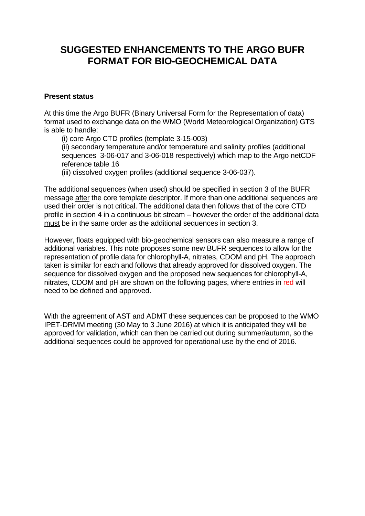# **SUGGESTED ENHANCEMENTS TO THE ARGO BUFR FORMAT FOR BIO-GEOCHEMICAL DATA**

### **Present status**

At this time the Argo BUFR (Binary Universal Form for the Representation of data) format used to exchange data on the WMO (World Meteorological Organization) GTS is able to handle:

(i) core Argo CTD profiles (template 3-15-003)

(ii) secondary temperature and/or temperature and salinity profiles (additional sequences 3-06-017 and 3-06-018 respectively) which map to the Argo netCDF reference table 16

(iii) dissolved oxygen profiles (additional sequence 3-06-037).

The additional sequences (when used) should be specified in section 3 of the BUFR message after the core template descriptor. If more than one additional sequences are used their order is not critical. The additional data then follows that of the core CTD profile in section 4 in a continuous bit stream – however the order of the additional data must be in the same order as the additional sequences in section 3.

However, floats equipped with bio-geochemical sensors can also measure a range of additional variables. This note proposes some new BUFR sequences to allow for the representation of profile data for chlorophyll-A, nitrates, CDOM and pH. The approach taken is similar for each and follows that already approved for dissolved oxygen. The sequence for dissolved oxygen and the proposed new sequences for chlorophyll-A, nitrates, CDOM and pH are shown on the following pages, where entries in red will need to be defined and approved.

With the agreement of AST and ADMT these sequences can be proposed to the WMO IPET-DRMM meeting (30 May to 3 June 2016) at which it is anticipated they will be approved for validation, which can then be carried out during summer/autumn, so the additional sequences could be approved for operational use by the end of 2016.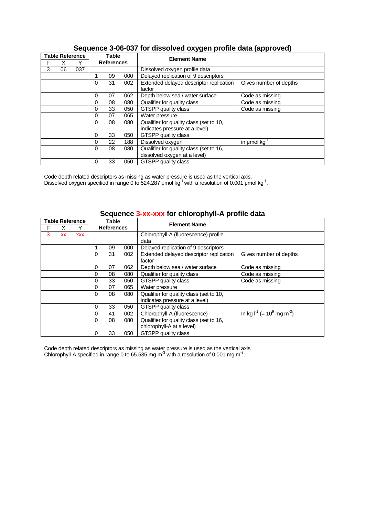|   |    | <b>Table Reference</b> | <b>Table</b>      |    |     | <b>Element Name</b>                     |                        |
|---|----|------------------------|-------------------|----|-----|-----------------------------------------|------------------------|
| F |    | v                      | <b>References</b> |    |     |                                         |                        |
| 3 | 06 | 037                    |                   |    |     | Dissolved oxygen profile data           |                        |
|   |    |                        |                   | 09 | 000 | Delayed replication of 9 descriptors    |                        |
|   |    |                        | 0                 | 31 | 002 | Extended delayed descriptor replication | Gives number of depths |
|   |    |                        |                   |    |     | factor                                  |                        |
|   |    |                        | 0                 | 07 | 062 | Depth below sea / water surface         | Code as missing        |
|   |    |                        | 0                 | 08 | 080 | Qualifier for quality class             | Code as missing        |
|   |    |                        | 0                 | 33 | 050 | <b>GTSPP</b> quality class              | Code as missing        |
|   |    |                        | 0                 | 07 | 065 | Water pressure                          |                        |
|   |    |                        | 0                 | 08 | 080 | Qualifier for quality class (set to 10, |                        |
|   |    |                        |                   |    |     | indicates pressure at a level)          |                        |
|   |    |                        | 0                 | 33 | 050 | <b>GTSPP</b> quality class              |                        |
|   |    |                        | 0                 | 22 | 188 | Dissolved oxygen                        | in umol kg             |
|   |    |                        | 0                 | 08 | 080 | Qualifier for quality class (set to 16, |                        |
|   |    |                        |                   |    |     | dissolved oxygen at a level)            |                        |
|   |    |                        | 0                 | 33 | 050 | <b>GTSPP</b> quality class              |                        |

### **Sequence 3-06-037 for dissolved oxygen profile data (approved)**

Code depth related descriptors as missing as water pressure is used as the vertical axis. Dissolved oxygen specified in range 0 to 524.287 umol kg<sup>-1</sup> with a resolution of 0.001 umol kg<sup>-1</sup>.

|   | <b>Table Reference</b> |            | Table             |    |     | <b>Element Name</b>                     |                                                     |
|---|------------------------|------------|-------------------|----|-----|-----------------------------------------|-----------------------------------------------------|
| F |                        | Y          | <b>References</b> |    |     |                                         |                                                     |
| 3 | <b>XX</b>              | <b>XXX</b> |                   |    |     | Chlorophyll-A (fluorescence) profile    |                                                     |
|   |                        |            |                   |    |     | data                                    |                                                     |
|   |                        |            | 1                 | 09 | 000 | Delayed replication of 9 descriptors    |                                                     |
|   |                        |            | $\Omega$          | 31 | 002 | Extended delayed descriptor replication | Gives number of depths                              |
|   |                        |            |                   |    |     | factor                                  |                                                     |
|   |                        |            | 0                 | 07 | 062 | Depth below sea / water surface         | Code as missing                                     |
|   |                        |            | 0                 | 08 | 080 | Qualifier for quality class             | Code as missing                                     |
|   |                        |            | 0                 | 33 | 050 | GTSPP quality class                     | Code as missing                                     |
|   |                        |            | $\Omega$          | 07 | 065 | Water pressure                          |                                                     |
|   |                        |            | $\Omega$          | 08 | 080 | Qualifier for quality class (set to 10, |                                                     |
|   |                        |            |                   |    |     | indicates pressure at a level)          |                                                     |
|   |                        |            | $\Omega$          | 33 | 050 | GTSPP quality class                     |                                                     |
|   |                        |            | $\Omega$          | 41 | 002 | Chlorophyll-A (fluorescence)            | In kg $I^1$ (= 10 <sup>9</sup> mg m <sup>-3</sup> ) |
|   |                        |            | $\Omega$          | 08 | 080 | Qualifier for quality class (set to 16, |                                                     |
|   |                        |            |                   |    |     | chlorophyll-A at a level)               |                                                     |
|   |                        |            | 0                 | 33 | 050 | GTSPP quality class                     |                                                     |

## **Sequence 3-xx-xxx for chlorophyll-A profile data**

Code depth related descriptors as missing as water pressure is used as the vertical axis Chlorophyll-A specified in range 0 to 65.535 mg m<sup>-3</sup> with a resolution of 0.001 mg m<sup>-3</sup>.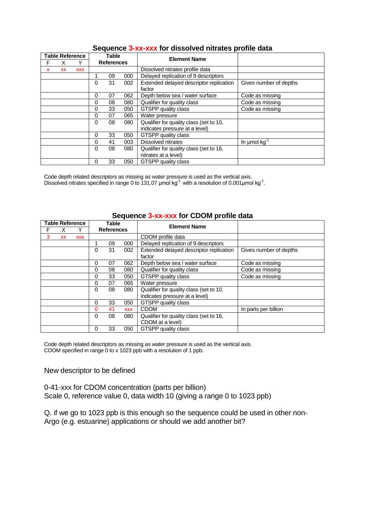|   | <b>Table Reference</b> |            | Table             |    |     | <b>Element Name</b>                               |                        |
|---|------------------------|------------|-------------------|----|-----|---------------------------------------------------|------------------------|
| F |                        |            | <b>References</b> |    |     |                                                   |                        |
| x | <b>XX</b>              | <b>XXX</b> |                   |    |     | Dissolved nitrates profile data                   |                        |
|   |                        |            |                   | 09 | 000 | Delayed replication of 9 descriptors              |                        |
|   |                        |            | 0                 | 31 | 002 | Extended delayed descriptor replication<br>factor | Gives number of depths |
|   |                        |            | 0                 | 07 | 062 | Depth below sea / water surface                   | Code as missing        |
|   |                        |            | 0                 | 08 | 080 | Qualifier for quality class                       | Code as missing        |
|   |                        |            | 0                 | 33 | 050 | GTSPP quality class                               | Code as missing        |
|   |                        |            | $\Omega$          | 07 | 065 | Water pressure                                    |                        |
|   |                        |            | $\Omega$          | 08 | 080 | Qualifier for quality class (set to 10,           |                        |
|   |                        |            |                   |    |     | indicates pressure at a level)                    |                        |
|   |                        |            | 0                 | 33 | 050 | <b>GTSPP</b> quality class                        |                        |
|   |                        |            | 0                 | 41 | 003 | <b>Dissolved nitrates</b>                         | In umol $kg^{-1}$      |
|   |                        |            | $\Omega$          | 08 | 080 | Qualifier for quality class (set to 16,           |                        |
|   |                        |            |                   |    |     | nitrates at a level)                              |                        |
|   |                        |            | 0                 | 33 | 050 | GTSPP quality class                               |                        |

### **Sequence 3-xx-xxx for dissolved nitrates profile data**

Code depth related descriptors as missing as water pressure is used as the vertical axis. Dissolved nitrates specified in range 0 to 131.07  $\mu$ mol kg<sup>-1</sup> with a resolution of 0.001 $\mu$ mol kg<sup>-1</sup>.

|   | <b>Table Reference</b> |            | Table             |    |            | <b>Element Name</b>                     |                        |
|---|------------------------|------------|-------------------|----|------------|-----------------------------------------|------------------------|
| F |                        | ∨          | <b>References</b> |    |            |                                         |                        |
| 3 | <b>XX</b>              | <b>XXX</b> |                   |    |            | CDOM profile data                       |                        |
|   |                        |            |                   | 09 | 000        | Delayed replication of 9 descriptors    |                        |
|   |                        |            | 0                 | 31 | 002        | Extended delayed descriptor replication | Gives number of depths |
|   |                        |            |                   |    |            | factor                                  |                        |
|   |                        |            | 0                 | 07 | 062        | Depth below sea / water surface         | Code as missing        |
|   |                        |            | 0                 | 08 | 080        | Qualifier for quality class             | Code as missing        |
|   |                        |            | 0                 | 33 | 050        | GTSPP quality class                     | Code as missing        |
|   |                        |            | 0                 | 07 | 065        | Water pressure                          |                        |
|   |                        |            | 0                 | 08 | 080        | Qualifier for quality class (set to 10, |                        |
|   |                        |            |                   |    |            | indicates pressure at a level)          |                        |
|   |                        |            | 0                 | 33 | 050        | <b>GTSPP</b> quality class              |                        |
|   |                        |            | 0                 | 41 | <b>XXX</b> | <b>CDOM</b>                             | In parts per billion   |
|   |                        |            | 0                 | 08 | 080        | Qualifier for quality class (set to 16, |                        |
|   |                        |            |                   |    |            | CDOM at a level)                        |                        |
|   |                        |            | 0                 | 33 | 050        | GTSPP quality class                     |                        |

#### **Sequence 3-xx-xxx for CDOM profile data**

Code depth related descriptors as missing as water pressure is used as the vertical axis. CDOM specified in range 0 to x 1023 ppb with a resolution of 1 ppb.

New descriptor to be defined

0-41-xxx for CDOM concentration (parts per billion) Scale 0, reference value 0, data width 10 (giving a range 0 to 1023 ppb)

Q. if we go to 1023 ppb is this enough so the sequence could be used in other non-Argo (e.g. estuarine) applications or should we add another bit?